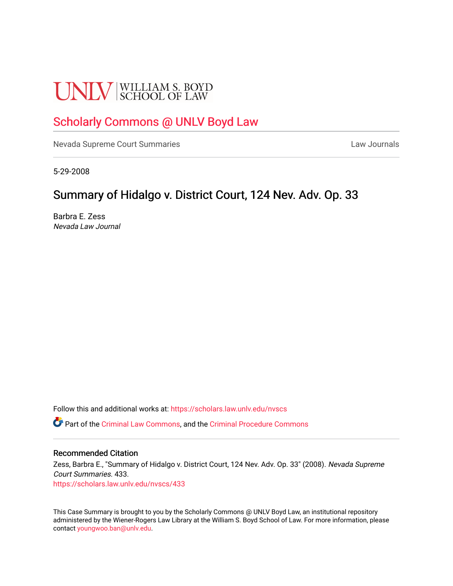# **UNLV** SCHOOL OF LAW

# [Scholarly Commons @ UNLV Boyd Law](https://scholars.law.unlv.edu/)

[Nevada Supreme Court Summaries](https://scholars.law.unlv.edu/nvscs) **Law Journals** Law Journals

5-29-2008

## Summary of Hidalgo v. District Court, 124 Nev. Adv. Op. 33

Barbra E. Zess Nevada Law Journal

Follow this and additional works at: [https://scholars.law.unlv.edu/nvscs](https://scholars.law.unlv.edu/nvscs?utm_source=scholars.law.unlv.edu%2Fnvscs%2F433&utm_medium=PDF&utm_campaign=PDFCoverPages)

Part of the [Criminal Law Commons,](http://network.bepress.com/hgg/discipline/912?utm_source=scholars.law.unlv.edu%2Fnvscs%2F433&utm_medium=PDF&utm_campaign=PDFCoverPages) and the [Criminal Procedure Commons](http://network.bepress.com/hgg/discipline/1073?utm_source=scholars.law.unlv.edu%2Fnvscs%2F433&utm_medium=PDF&utm_campaign=PDFCoverPages)

#### Recommended Citation

Zess, Barbra E., "Summary of Hidalgo v. District Court, 124 Nev. Adv. Op. 33" (2008). Nevada Supreme Court Summaries. 433. [https://scholars.law.unlv.edu/nvscs/433](https://scholars.law.unlv.edu/nvscs/433?utm_source=scholars.law.unlv.edu%2Fnvscs%2F433&utm_medium=PDF&utm_campaign=PDFCoverPages)

This Case Summary is brought to you by the Scholarly Commons @ UNLV Boyd Law, an institutional repository administered by the Wiener-Rogers Law Library at the William S. Boyd School of Law. For more information, please contact [youngwoo.ban@unlv.edu](mailto:youngwoo.ban@unlv.edu).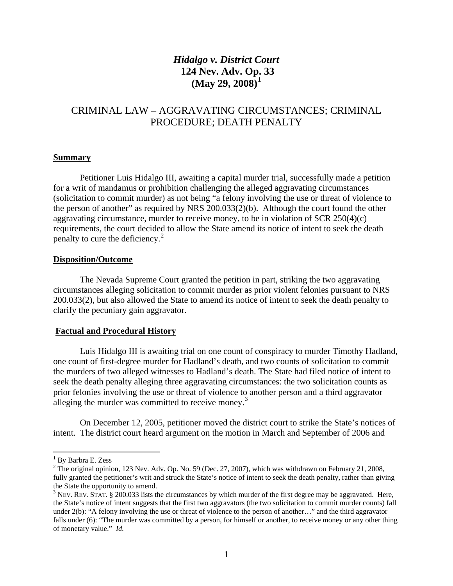## *Hidalgo v. District Court*  **124 Nev. Adv. Op. 33 (May 29, 2008)[1](#page-1-0)**

### CRIMINAL LAW – AGGRAVATING CIRCUMSTANCES; CRIMINAL PROCEDURE; DEATH PENALTY

#### **Summary**

Petitioner Luis Hidalgo III, awaiting a capital murder trial, successfully made a petition for a writ of mandamus or prohibition challenging the alleged aggravating circumstances (solicitation to commit murder) as not being "a felony involving the use or threat of violence to the person of another" as required by NRS 200.033(2)(b). Although the court found the other aggravating circumstance, murder to receive money, to be in violation of  $SCR\ 250(4)(c)$ requirements, the court decided to allow the State amend its notice of intent to seek the death penalty to cure the deficiency.<sup>[2](#page-1-1)</sup>

#### **Disposition/Outcome**

The Nevada Supreme Court granted the petition in part, striking the two aggravating circumstances alleging solicitation to commit murder as prior violent felonies pursuant to NRS 200.033(2), but also allowed the State to amend its notice of intent to seek the death penalty to clarify the pecuniary gain aggravator.

#### **Factual and Procedural History**

Luis Hidalgo III is awaiting trial on one count of conspiracy to murder Timothy Hadland, one count of first-degree murder for Hadland's death, and two counts of solicitation to commit the murders of two alleged witnesses to Hadland's death. The State had filed notice of intent to seek the death penalty alleging three aggravating circumstances: the two solicitation counts as prior felonies involving the use or threat of violence to another person and a third aggravator alleging the murder was committed to receive money.<sup>[3](#page-1-2)</sup>

On December 12, 2005, petitioner moved the district court to strike the State's notices of intent. The district court heard argument on the motion in March and September of 2006 and

 $\overline{a}$ 

<span id="page-1-0"></span><sup>&</sup>lt;sup>1</sup> By Barbra E. Zess

<span id="page-1-1"></span><sup>&</sup>lt;sup>2</sup> The original opinion, 123 Nev. Adv. Op. No. 59 (Dec. 27, 2007), which was withdrawn on February 21, 2008, fully granted the petitioner's writ and struck the State's notice of intent to seek the death penalty, rather than giving the State the opportunity to amend.

<span id="page-1-2"></span> $3$  NEV. REV. STAT. § 200.033 lists the circumstances by which murder of the first degree may be aggravated. Here, the State's notice of intent suggests that the first two aggravators (the two solicitation to commit murder counts) fall under 2(b): "A felony involving the use or threat of violence to the person of another…" and the third aggravator falls under (6): "The murder was committed by a person, for himself or another, to receive money or any other thing of monetary value." *Id.*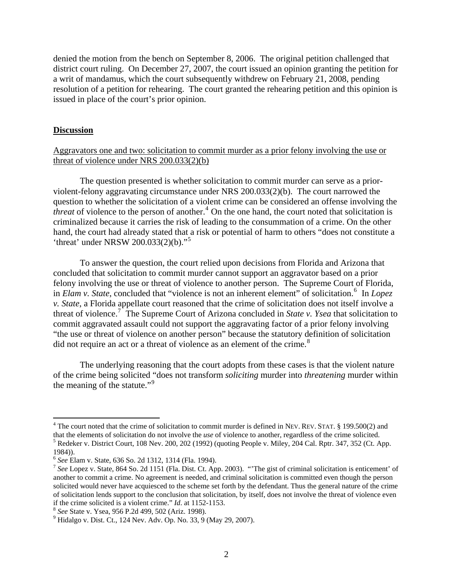denied the motion from the bench on September 8, 2006. The original petition challenged that district court ruling. On December 27, 2007, the court issued an opinion granting the petition for a writ of mandamus, which the court subsequently withdrew on February 21, 2008, pending resolution of a petition for rehearing. The court granted the rehearing petition and this opinion is issued in place of the court's prior opinion.

#### **Discussion**

 $\overline{a}$ 

#### Aggravators one and two: solicitation to commit murder as a prior felony involving the use or threat of violence under NRS 200.033(2)(b)

 The question presented is whether solicitation to commit murder can serve as a priorviolent-felony aggravating circumstance under NRS 200.033(2)(b). The court narrowed the question to whether the solicitation of a violent crime can be considered an offense involving the *threat* of violence to the person of another.<sup>[4](#page-2-0)</sup> On the one hand, the court noted that solicitation is criminalized because it carries the risk of leading to the consummation of a crime. On the other hand, the court had already stated that a risk or potential of harm to others "does not constitute a 'threat' under NRSW 200.033(2)(b)."[5](#page-2-1)

 To answer the question, the court relied upon decisions from Florida and Arizona that concluded that solicitation to commit murder cannot support an aggravator based on a prior felony involving the use or threat of violence to another person. The Supreme Court of Florida, in *Elam v. State*, concluded that "violence is not an inherent element" of solicitation.<sup>[6](#page-2-2)</sup> In *Lopez v. State*, a Florida appellate court reasoned that the crime of solicitation does not itself involve a threat of violence.[7](#page-2-3) The Supreme Court of Arizona concluded in *State v. Ysea* that solicitation to commit aggravated assault could not support the aggravating factor of a prior felony involving "the use or threat of violence on another person" because the statutory definition of solicitation did not require an act or a threat of violence as an element of the crime.<sup>[8](#page-2-4)</sup>

The underlying reasoning that the court adopts from these cases is that the violent nature of the crime being solicited "does not transform *soliciting* murder into *threatening* murder within the meaning of the statute."<sup>[9](#page-2-5)</sup>

<span id="page-2-0"></span> $4$  The court noted that the crime of solicitation to commit murder is defined in NEV. REV. STAT. § 199.500(2) and that the elements of solicitation do not involve the *use* of violence to another, regardless of the crime solicited. 5

<span id="page-2-1"></span><sup>&</sup>lt;sup>5</sup> Redeker v. District Court, 108 Nev. 200, 202 (1992) (quoting People v. Miley, 204 Cal. Rptr. 347, 352 (Ct. App. 1984)).<br><sup>6</sup> See Elam v. State, 636 So. 2d 1312, 1314 (Fla. 1994).

<span id="page-2-3"></span><span id="page-2-2"></span><sup>&</sup>lt;sup>7</sup> See Lopez v. State, 864 So. 2d 1151 (Fla. Dist. Ct. App. 2003). "The gist of criminal solicitation is enticement' of another to commit a crime. No agreement is needed, and criminal solicitation is committed even though the person solicited would never have acquiesced to the scheme set forth by the defendant. Thus the general nature of the crime of solicitation lends support to the conclusion that solicitation, by itself, does not involve the threat of violence even if the crime solicited is a violent crime." *Id*. at 1152-1153. 8 *See* State v. Ysea, 956 P.2d 499, 502 (Ariz. 1998). 9

<span id="page-2-4"></span>

<span id="page-2-5"></span><sup>&</sup>lt;sup>9</sup> Hidalgo v. Dist. Ct., 124 Nev. Adv. Op. No. 33, 9 (May 29, 2007).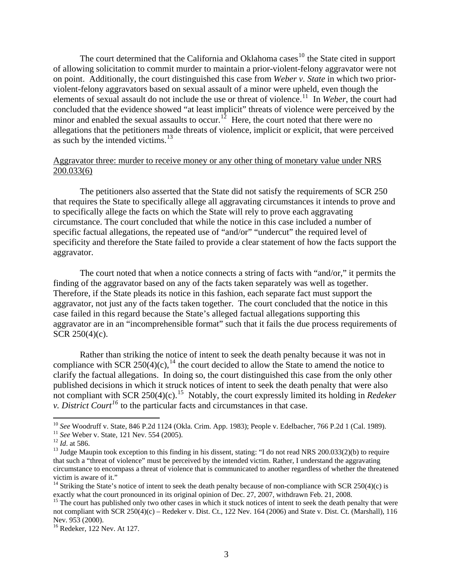The court determined that the California and Oklahoma cases<sup>[10](#page-3-0)</sup> the State cited in support of allowing solicitation to commit murder to maintain a prior-violent-felony aggravator were not on point. Additionally, the court distinguished this case from *Weber v. State* in which two priorviolent-felony aggravators based on sexual assault of a minor were upheld, even though the elements of sexual assault do not include the use or threat of violence.<sup>[11](#page-3-1)</sup> In *Weber*, the court had concluded that the evidence showed "at least implicit" threats of violence were perceived by the minor and enabled the sexual assaults to occur.<sup>[12](#page-3-2)</sup> Here, the court noted that there were no allegations that the petitioners made threats of violence, implicit or explicit, that were perceived as such by the intended victims. $13$ 

#### Aggravator three: murder to receive money or any other thing of monetary value under NRS 200.033(6)

 The petitioners also asserted that the State did not satisfy the requirements of SCR 250 that requires the State to specifically allege all aggravating circumstances it intends to prove and to specifically allege the facts on which the State will rely to prove each aggravating circumstance. The court concluded that while the notice in this case included a number of specific factual allegations, the repeated use of "and/or" "undercut" the required level of specificity and therefore the State failed to provide a clear statement of how the facts support the aggravator.

 The court noted that when a notice connects a string of facts with "and/or," it permits the finding of the aggravator based on any of the facts taken separately was well as together. Therefore, if the State pleads its notice in this fashion, each separate fact must support the aggravator, not just any of the facts taken together. The court concluded that the notice in this case failed in this regard because the State's alleged factual allegations supporting this aggravator are in an "incomprehensible format" such that it fails the due process requirements of SCR 250(4)(c).

Rather than striking the notice of intent to seek the death penalty because it was not in compliance with SCR 250(4)(c),<sup>[14](#page-3-4)</sup> the court decided to allow the State to amend the notice to clarify the factual allegations. In doing so, the court distinguished this case from the only other published decisions in which it struck notices of intent to seek the death penalty that were also not compliant with SCR 250(4)(c).<sup>[15](#page-3-5)</sup> Notably, the court expressly limited its holding in *Redeker v. District Court[16](#page-3-6)* to the particular facts and circumstances in that case.

<sup>&</sup>lt;sup>10</sup> See Woodruff v. State, 846 P.2d 1124 (Okla. Crim. App. 1983); People v. Edelbacher, 766 P.2d 1 (Cal. 1989).

<span id="page-3-3"></span>

<span id="page-3-2"></span><span id="page-3-1"></span><span id="page-3-0"></span><sup>&</sup>lt;sup>11</sup> See Weber v. State, 121 Nev. 554 (2005).<br><sup>12</sup> *Id.* at 586.<br><sup>13</sup> Judge Maupin took exception to this finding in his dissent, stating: "I do not read NRS 200.033(2)(b) to require that such a "threat of violence" must be perceived by the intended victim. Rather, I understand the aggravating circumstance to encompass a threat of violence that is communicated to another regardless of whether the threatened victim is aware of it."

<span id="page-3-4"></span><sup>&</sup>lt;sup>14</sup> Striking the State's notice of intent to seek the death penalty because of non-compliance with SCR 250(4)(c) is exactly what the court pronounced in its original opinion of Dec. 27, 2007, withdrawn Feb. 21, 2008.

<span id="page-3-5"></span><sup>&</sup>lt;sup>15</sup> The court has published only two other cases in which it stuck notices of intent to seek the death penalty that were not compliant with SCR 250(4)(c) – Redeker v. Dist. Ct., 122 Nev. 164 (2006) and State v. Dist. Ct. (Marshall), 116 Nev. 953 (2000).

<span id="page-3-6"></span><sup>16</sup> Redeker, 122 Nev. At 127.